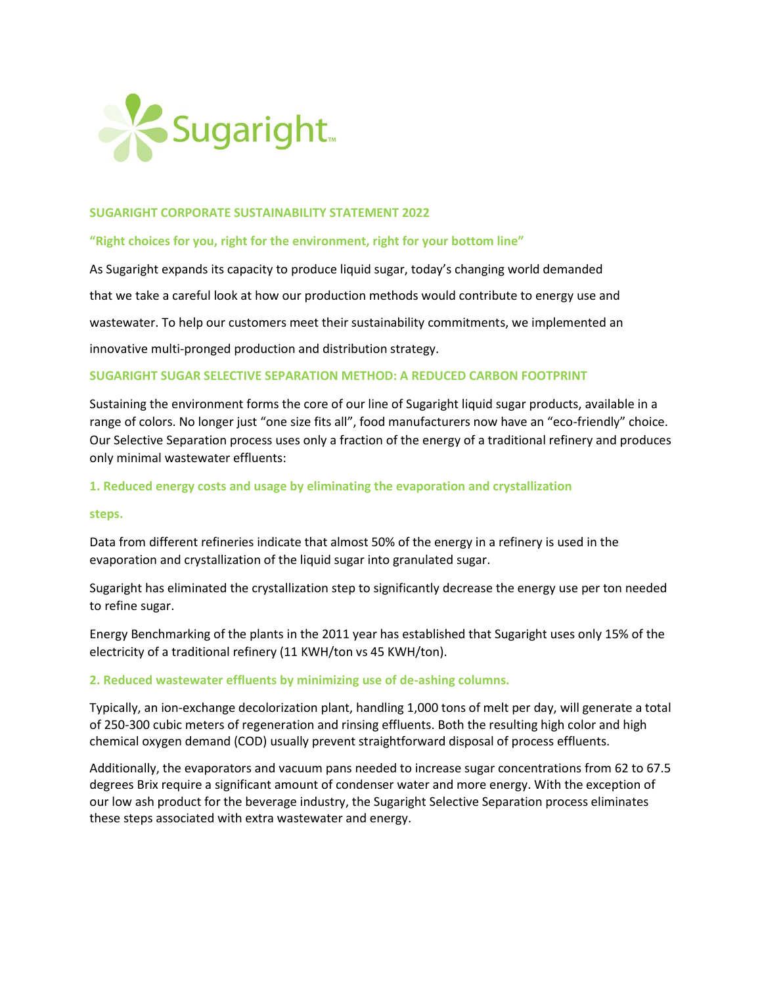

### **SUGARIGHT CORPORATE SUSTAINABILITY STATEMENT 2022**

#### **"Right choices for you, right for the environment, right for your bottom line"**

As Sugaright expands its capacity to produce liquid sugar, today's changing world demanded that we take a careful look at how our production methods would contribute to energy use and wastewater. To help our customers meet their sustainability commitments, we implemented an innovative multi-pronged production and distribution strategy.

### **SUGARIGHT SUGAR SELECTIVE SEPARATION METHOD: A REDUCED CARBON FOOTPRINT**

Sustaining the environment forms the core of our line of Sugaright liquid sugar products, available in a range of colors. No longer just "one size fits all", food manufacturers now have an "eco-friendly" choice. Our Selective Separation process uses only a fraction of the energy of a traditional refinery and produces only minimal wastewater effluents:

### **1. Reduced energy costs and usage by eliminating the evaporation and crystallization**

#### **steps.**

Data from different refineries indicate that almost 50% of the energy in a refinery is used in the evaporation and crystallization of the liquid sugar into granulated sugar.

Sugaright has eliminated the crystallization step to significantly decrease the energy use per ton needed to refine sugar.

Energy Benchmarking of the plants in the 2011 year has established that Sugaright uses only 15% of the electricity of a traditional refinery (11 KWH/ton vs 45 KWH/ton).

#### **2. Reduced wastewater effluents by minimizing use of de-ashing columns.**

Typically, an ion-exchange decolorization plant, handling 1,000 tons of melt per day, will generate a total of 250-300 cubic meters of regeneration and rinsing effluents. Both the resulting high color and high chemical oxygen demand (COD) usually prevent straightforward disposal of process effluents.

Additionally, the evaporators and vacuum pans needed to increase sugar concentrations from 62 to 67.5 degrees Brix require a significant amount of condenser water and more energy. With the exception of our low ash product for the beverage industry, the Sugaright Selective Separation process eliminates these steps associated with extra wastewater and energy.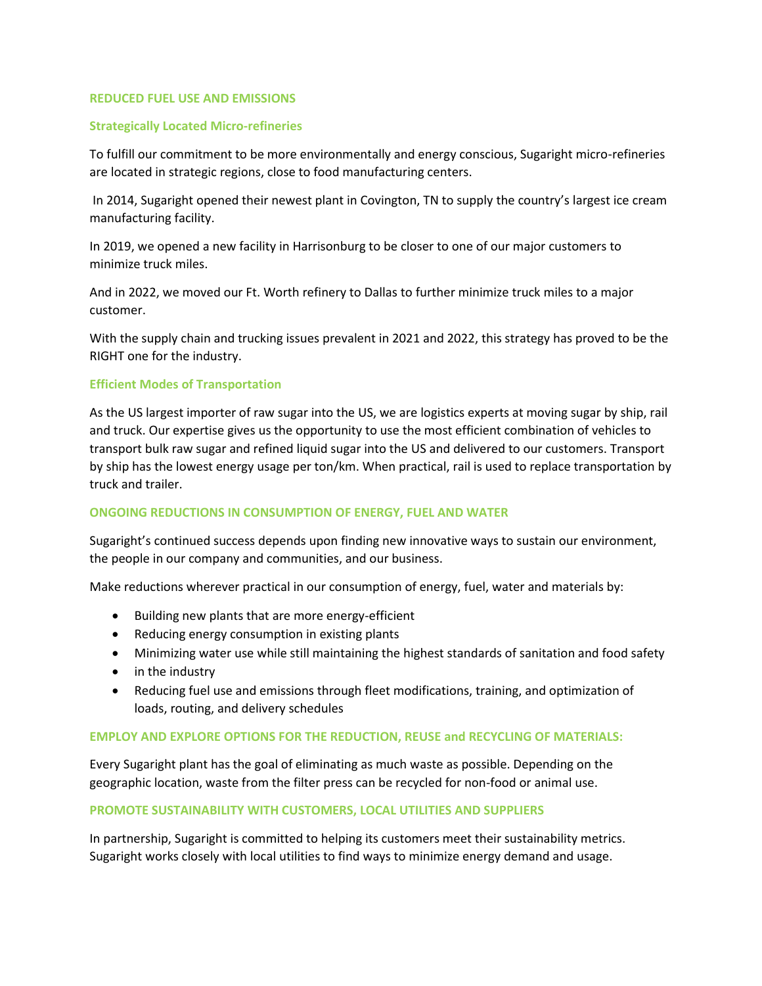#### **REDUCED FUEL USE AND EMISSIONS**

### **Strategically Located Micro-refineries**

To fulfill our commitment to be more environmentally and energy conscious, Sugaright micro-refineries are located in strategic regions, close to food manufacturing centers.

In 2014, Sugaright opened their newest plant in Covington, TN to supply the country's largest ice cream manufacturing facility.

In 2019, we opened a new facility in Harrisonburg to be closer to one of our major customers to minimize truck miles.

And in 2022, we moved our Ft. Worth refinery to Dallas to further minimize truck miles to a major customer.

With the supply chain and trucking issues prevalent in 2021 and 2022, this strategy has proved to be the RIGHT one for the industry.

### **Efficient Modes of Transportation**

As the US largest importer of raw sugar into the US, we are logistics experts at moving sugar by ship, rail and truck. Our expertise gives us the opportunity to use the most efficient combination of vehicles to transport bulk raw sugar and refined liquid sugar into the US and delivered to our customers. Transport by ship has the lowest energy usage per ton/km. When practical, rail is used to replace transportation by truck and trailer.

### **ONGOING REDUCTIONS IN CONSUMPTION OF ENERGY, FUEL AND WATER**

Sugaright's continued success depends upon finding new innovative ways to sustain our environment, the people in our company and communities, and our business.

Make reductions wherever practical in our consumption of energy, fuel, water and materials by:

- Building new plants that are more energy-efficient
- Reducing energy consumption in existing plants
- Minimizing water use while still maintaining the highest standards of sanitation and food safety
- in the industry
- Reducing fuel use and emissions through fleet modifications, training, and optimization of loads, routing, and delivery schedules

#### **EMPLOY AND EXPLORE OPTIONS FOR THE REDUCTION, REUSE and RECYCLING OF MATERIALS:**

Every Sugaright plant has the goal of eliminating as much waste as possible. Depending on the geographic location, waste from the filter press can be recycled for non-food or animal use.

#### **PROMOTE SUSTAINABILITY WITH CUSTOMERS, LOCAL UTILITIES AND SUPPLIERS**

In partnership, Sugaright is committed to helping its customers meet their sustainability metrics. Sugaright works closely with local utilities to find ways to minimize energy demand and usage.